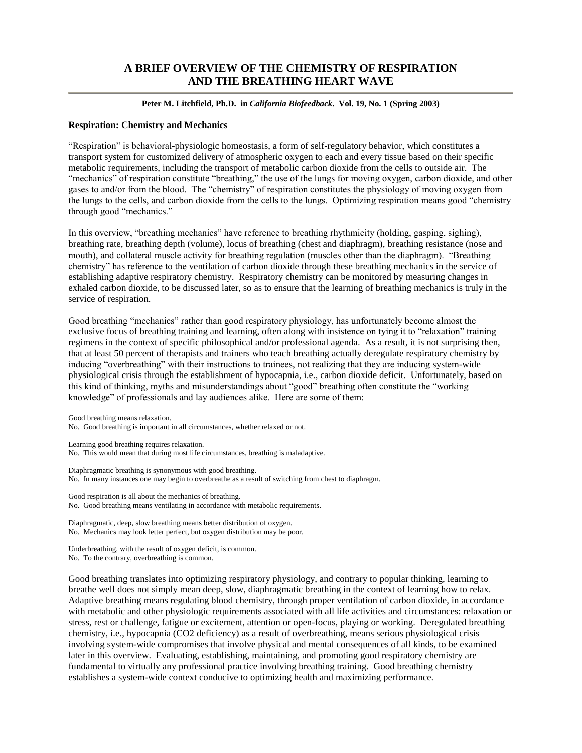# **A BRIEF OVERVIEW OF THE CHEMISTRY OF RESPIRATION AND THE BREATHING HEART WAVE**

**Peter M. Litchfield, Ph.D. in** *California Biofeedback***. Vol. 19, No. 1 (Spring 2003)**

### **Respiration: Chemistry and Mechanics**

"Respiration" is behavioral-physiologic homeostasis, a form of self-regulatory behavior, which constitutes a transport system for customized delivery of atmospheric oxygen to each and every tissue based on their specific metabolic requirements, including the transport of metabolic carbon dioxide from the cells to outside air. The "mechanics" of respiration constitute "breathing," the use of the lungs for moving oxygen, carbon dioxide, and other gases to and/or from the blood. The "chemistry" of respiration constitutes the physiology of moving oxygen from the lungs to the cells, and carbon dioxide from the cells to the lungs. Optimizing respiration means good "chemistry" through good "mechanics."

In this overview, "breathing mechanics" have reference to breathing rhythmicity (holding, gasping, sighing), breathing rate, breathing depth (volume), locus of breathing (chest and diaphragm), breathing resistance (nose and mouth), and collateral muscle activity for breathing regulation (muscles other than the diaphragm). "Breathing chemistry" has reference to the ventilation of carbon dioxide through these breathing mechanics in the service of establishing adaptive respiratory chemistry. Respiratory chemistry can be monitored by measuring changes in exhaled carbon dioxide, to be discussed later, so as to ensure that the learning of breathing mechanics is truly in the service of respiration.

Good breathing "mechanics" rather than good respiratory physiology, has unfortunately become almost the exclusive focus of breathing training and learning, often along with insistence on tying it to "relaxation" training regimens in the context of specific philosophical and/or professional agenda. As a result, it is not surprising then, that at least 50 percent of therapists and trainers who teach breathing actually deregulate respiratory chemistry by inducing "overbreathing" with their instructions to trainees, not realizing that they are inducing system-wide physiological crisis through the establishment of hypocapnia, i.e., carbon dioxide deficit. Unfortunately, based on this kind of thinking, myths and misunderstandings about "good" breathing often constitute the "working" knowledge" of professionals and lay audiences alike. Here are some of them:

Good breathing means relaxation. No. Good breathing is important in all circumstances, whether relaxed or not.

Learning good breathing requires relaxation.

No. This would mean that during most life circumstances, breathing is maladaptive.

Diaphragmatic breathing is synonymous with good breathing. No. In many instances one may begin to overbreathe as a result of switching from chest to diaphragm.

Good respiration is all about the mechanics of breathing. No. Good breathing means ventilating in accordance with metabolic requirements.

Diaphragmatic, deep, slow breathing means better distribution of oxygen. No. Mechanics may look letter perfect, but oxygen distribution may be poor.

Underbreathing, with the result of oxygen deficit, is common. No. To the contrary, overbreathing is common.

Good breathing translates into optimizing respiratory physiology, and contrary to popular thinking, learning to breathe well does not simply mean deep, slow, diaphragmatic breathing in the context of learning how to relax. Adaptive breathing means regulating blood chemistry, through proper ventilation of carbon dioxide, in accordance with metabolic and other physiologic requirements associated with all life activities and circumstances: relaxation or stress, rest or challenge, fatigue or excitement, attention or open-focus, playing or working. Deregulated breathing chemistry, i.e., hypocapnia (CO2 deficiency) as a result of overbreathing, means serious physiological crisis involving system-wide compromises that involve physical and mental consequences of all kinds, to be examined later in this overview. Evaluating, establishing, maintaining, and promoting good respiratory chemistry are fundamental to virtually any professional practice involving breathing training. Good breathing chemistry establishes a system-wide context conducive to optimizing health and maximizing performance.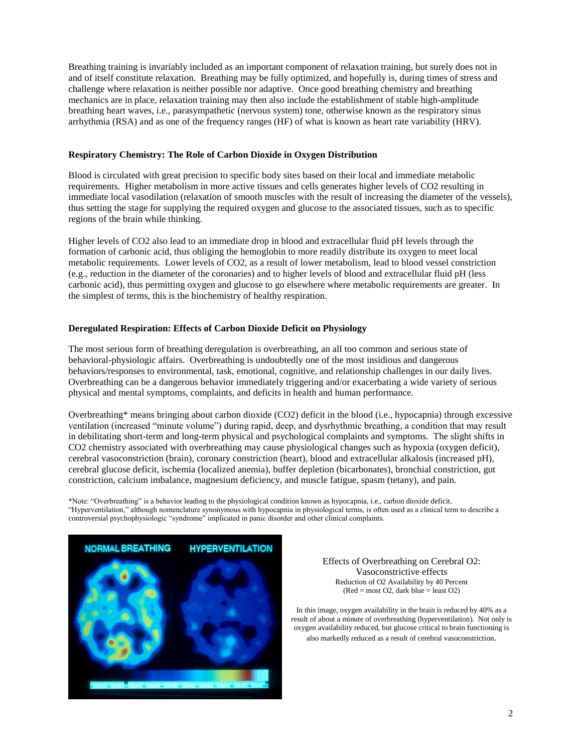Breathing training is invariably included as an important component of relaxation training, but surely does not in and of itself constitute relaxation. Breathing may be fully optimized, and hopefully is, during times of stress and challenge where relaxation is neither possible nor adaptive. Once good breathing chemistry and breathing mechanics are in place, relaxation training may then also include the establishment of stable high-amplitude breathing heart waves, i.e., parasympathetic (nervous system) tone, otherwise known as the respiratory sinus arrhythmia (RSA) and as one of the frequency ranges (HF) of what is known as heart rate variability (HRV).

### **Respiratory Chemistry: The Role of Carbon Dioxide in Oxygen Distribution**

Blood is circulated with great precision to specific body sites based on their local and immediate metabolic requirements. Higher metabolism in more active tissues and cells generates higher levels of CO2 resulting in immediate local vasodilation (relaxation of smooth muscles with the result of increasing the diameter of the vessels), thus setting the stage for supplying the required oxygen and glucose to the associated tissues, such as to specific regions of the brain while thinking.

Higher levels of CO2 also lead to an immediate drop in blood and extracellular fluid pH levels through the formation of carbonic acid, thus obliging the hemoglobin to more readily distribute its oxygen to meet local metabolic requirements. Lower levels of CO2, as a result of lower metabolism, lead to blood vessel constriction (e.g., reduction in the diameter of the coronaries) and to higher levels of blood and extracellular fluid pH (less carbonic acid), thus permitting oxygen and glucose to go elsewhere where metabolic requirements are greater. In the simplest of terms, this is the biochemistry of healthy respiration.

### **Deregulated Respiration: Effects of Carbon Dioxide Deficit on Physiology**

The most serious form of breathing deregulation is overbreathing, an all too common and serious state of behavioral-physiologic affairs. Overbreathing is undoubtedly one of the most insidious and dangerous behaviors/responses to environmental, task, emotional, cognitive, and relationship challenges in our daily lives. Overbreathing can be a dangerous behavior immediately triggering and/or exacerbating a wide variety of serious physical and mental symptoms, complaints, and deficits in health and human performance.

Overbreathing\* means bringing about carbon dioxide (CO2) deficit in the blood (i.e., hypocapnia) through excessive ventilation (increased "minute volume") during rapid, deep, and dysrhythmic breathing, a condition that may result in debilitating short-term and long-term physical and psychological complaints and symptoms. The slight shifts in CO2 chemistry associated with overbreathing may cause physiological changes such as hypoxia (oxygen deficit), cerebral vasoconstriction (brain), coronary constriction (heart), blood and extracellular alkalosis (increased pH), cerebral glucose deficit, ischemia (localized anemia), buffer depletion (bicarbonates), bronchial constriction, gut constriction, calcium imbalance, magnesium deficiency, and muscle fatigue, spasm (tetany), and pain.

\*Note:"Overbreathing"isabehavior leading to the physiological condition known as hypocapnia, i.e., carbon dioxide deficit. "Hyperventilation," although nomenclature synonymous with hypocapnia in physiological terms, is often used as a clinical term to describe a controversial psychophysiologic "syndrome" implicated in panic disorder and other clinical complaints.



Effects of Overbreathing on Cerebral O2: Vasoconstrictive effects Reduction of O2 Availability by 40 Percent  $(Red = most O2, dark blue = least O2)$ 

In this image, oxygen availability in the brain is reduced by 40% as a result of about a minute of overbreathing (hyperventilation). Not only is oxygen availability reduced, but glucose critical to brain functioning is also markedly reduced as a result of cerebral vasoconstriction.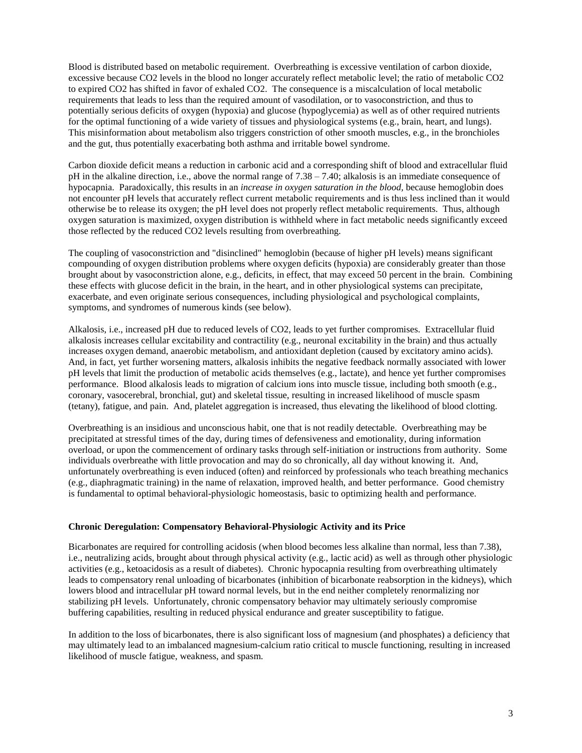Blood is distributed based on metabolic requirement. Overbreathing is excessive ventilation of carbon dioxide, excessive because CO2 levels in the blood no longer accurately reflect metabolic level; the ratio of metabolic CO2 to expired CO2 has shifted in favor of exhaled CO2. The consequence is a miscalculation of local metabolic requirements that leads to less than the required amount of vasodilation, or to vasoconstriction, and thus to potentially serious deficits of oxygen (hypoxia) and glucose (hypoglycemia) as well as of other required nutrients for the optimal functioning of a wide variety of tissues and physiological systems (e.g., brain, heart, and lungs). This misinformation about metabolism also triggers constriction of other smooth muscles, e.g., in the bronchioles and the gut, thus potentially exacerbating both asthma and irritable bowel syndrome.

Carbon dioxide deficit means a reduction in carbonic acid and a corresponding shift of blood and extracellular fluid pH in the alkaline direction, i.e., above the normal range of 7.38 –7.40; alkalosis is an immediate consequence of hypocapnia. Paradoxically, this results in an *increase in oxygen saturation in the blood,* because hemoglobin does not encounter pH levels that accurately reflect current metabolic requirements and is thus less inclined than it would otherwise be to release its oxygen; the pH level does not properly reflect metabolic requirements. Thus, although oxygen saturation is maximized, oxygen distribution is withheld where in fact metabolic needs significantly exceed those reflected by the reduced CO2 levels resulting from overbreathing.

The coupling of vasoconstriction and "disinclined" hemoglobin (because of higher pH levels) means significant compounding of oxygen distribution problems where oxygen deficits (hypoxia) are considerably greater than those brought about by vasoconstriction alone, e.g., deficits, in effect, that may exceed 50 percent in the brain. Combining these effects with glucose deficit in the brain, in the heart, and in other physiological systems can precipitate, exacerbate, and even originate serious consequences, including physiological and psychological complaints, symptoms, and syndromes of numerous kinds (see below).

Alkalosis, i.e., increased pH due to reduced levels of CO2, leads to yet further compromises. Extracellular fluid alkalosis increases cellular excitability and contractility (e.g., neuronal excitability in the brain) and thus actually increases oxygen demand, anaerobic metabolism, and antioxidant depletion (caused by excitatory amino acids). And, in fact, yet further worsening matters, alkalosis inhibits the negative feedback normally associated with lower pH levels that limit the production of metabolic acids themselves (e.g., lactate), and hence yet further compromises performance. Blood alkalosis leads to migration of calcium ions into muscle tissue, including both smooth (e.g., coronary, vasocerebral, bronchial, gut) and skeletal tissue, resulting in increased likelihood of muscle spasm (tetany), fatigue, and pain. And, platelet aggregation is increased, thus elevating the likelihood of blood clotting.

Overbreathing is an insidious and unconscious habit, one that is not readily detectable. Overbreathing may be precipitated at stressful times of the day, during times of defensiveness and emotionality, during information overload, or upon the commencement of ordinary tasks through self-initiation or instructions from authority. Some individuals overbreathe with little provocation and may do so chronically, all day without knowing it. And, unfortunately overbreathing is even induced (often) and reinforced by professionals who teach breathing mechanics (e.g., diaphragmatic training) in the name of relaxation, improved health, and better performance. Good chemistry is fundamental to optimal behavioral-physiologic homeostasis, basic to optimizing health and performance.

#### **Chronic Deregulation: Compensatory Behavioral-Physiologic Activity and its Price**

Bicarbonates are required for controlling acidosis (when blood becomes less alkaline than normal, less than 7.38), i.e., neutralizing acids, brought about through physical activity (e.g., lactic acid) as well as through other physiologic activities (e.g., ketoacidosis as a result of diabetes). Chronic hypocapnia resulting from overbreathing ultimately leads to compensatory renal unloading of bicarbonates (inhibition of bicarbonate reabsorption in the kidneys), which lowers blood and intracellular pH toward normal levels, but in the end neither completely renormalizing nor stabilizing pH levels. Unfortunately, chronic compensatory behavior may ultimately seriously compromise buffering capabilities, resulting in reduced physical endurance and greater susceptibility to fatigue.

In addition to the loss of bicarbonates, there is also significant loss of magnesium (and phosphates) a deficiency that may ultimately lead to an imbalanced magnesium-calcium ratio critical to muscle functioning, resulting in increased likelihood of muscle fatigue, weakness, and spasm.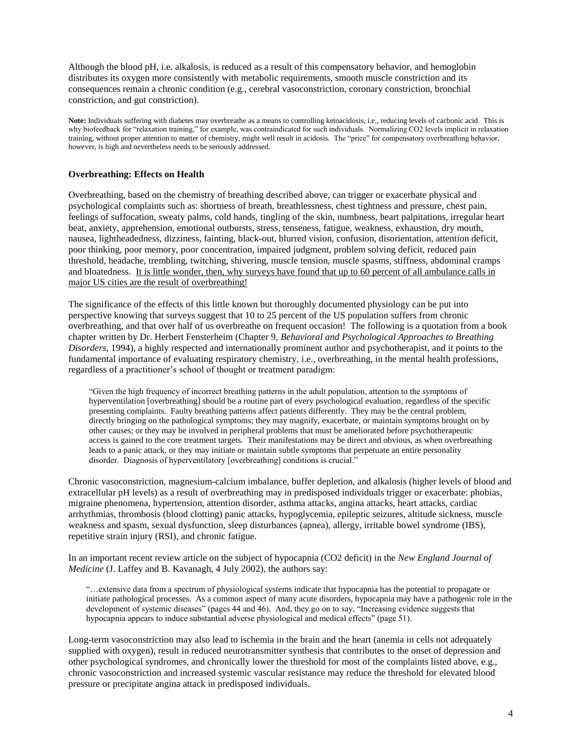Although the blood pH, i.e. alkalosis, is reduced as a result of this compensatory behavior, and hemoglobin distributes its oxygen more consistently with metabolic requirements, smooth muscle constriction and its consequences remain a chronic condition (e.g., cerebral vasoconstriction, coronary constriction, bronchial constriction, and gut constriction).

**Note:** Individuals suffering with diabetes may overbreathe as a means to controlling ketoacidosis, i.e., reducing levels of carbonic acid. This is why biofeedback for "relaxation training," for example, was contraindicated for such individuals. Normalizing CO2 levels implicit in relaxation training, without proper attention to matter of chemistry, might well result in acidosis. The "price" for compensatory overbreathing behavior, however, is high and nevertheless needs to be seriously addressed.

#### **Overbreathing: Effects on Health**

Overbreathing, based on the chemistry of breathing described above, can trigger or exacerbate physical and psychological complaints such as: shortness of breath, breathlessness, chest tightness and pressure, chest pain, feelings of suffocation, sweaty palms, cold hands, tingling of the skin, numbness, heart palpitations, irregular heart beat, anxiety, apprehension, emotional outbursts, stress, tenseness, fatigue, weakness, exhaustion, dry mouth, nausea, lightheadedness, dizziness, fainting, black-out, blurred vision, confusion, disorientation, attention deficit, poor thinking, poor memory, poor concentration, impaired judgment, problem solving deficit, reduced pain threshold, headache, trembling, twitching, shivering, muscle tension, muscle spasms, stiffness, abdominal cramps and bloatedness. It is little wonder, then, why surveys have found that up to 60 percent of all ambulance calls in major US cities are the result of overbreathing!

The significance of the effects of this little known but thoroughly documented physiology can be put into perspective knowing that surveys suggest that 10 to 25 percent of the US population suffers from chronic overbreathing, and that over half of us overbreathe on frequent occasion! The following is a quotation from a book chapter written by Dr. Herbert Fensterheim (Chapter 9, *Behavioral and Psychological Approaches to Breathing Disorders*, 1994), a highly respected and internationally prominent author and psychotherapist, and it points to the fundamental importance of evaluating respiratory chemistry, i.e., overbreathing, in the mental health professions, regardless of a practitioner's school of thought or treatment paradigm:

"Given the high frequency of incorrect breathing patterns in the adult population, attention to the symptoms of hyperventilation [overbreathing] should be a routine part of every psychological evaluation, regardless of the specific presenting complaints. Faulty breathing patterns affect patients differently. They may be the central problem, directly bringing on the pathological symptoms; they may magnify, exacerbate, or maintain symptoms brought on by other causes; or they may be involved in peripheral problems that must be ameliorated before psychotherapeutic access is gained to the core treatment targets. Their manifestations may be direct and obvious, as when overbreathing leads to a panic attack, or they may initiate or maintain subtle symptoms that perpetuate an entire personality disorder. Diagnosis of hyperventilatory [overbreathing] conditions is crucial."

Chronic vasoconstriction, magnesium-calcium imbalance, buffer depletion, and alkalosis (higher levels of blood and extracellular pH levels) as a result of overbreathing may in predisposed individuals trigger or exacerbate: phobias, migraine phenomena, hypertension, attention disorder, asthma attacks, angina attacks, heart attacks, cardiac arrhythmias, thrombosis (blood clotting) panic attacks, hypoglycemia, epileptic seizures, altitude sickness, muscle weakness and spasm, sexual dysfunction, sleep disturbances (apnea), allergy, irritable bowel syndrome (IBS), repetitive strain injury (RSI), and chronic fatigue.

In an important recent review article on the subject of hypocapnia (CO2 deficit) in the *New England Journal of Medicine* (J. Laffey and B. Kavanagh, 4 July 2002), the authors say:

"... extensive data from a spectrum of physiological systems indicate that hypocapnia has the potential to propagate or initiate pathological processes. As a common aspect of many acute disorders, hypocapnia may have a pathogenic role in the development of systemic diseases" (pages 44 and 46). And, they go on to say, "Increasing evidence suggests that hypocapnia appears to induce substantial adverse physiological and medical effects" (page 51).

Long-term vasoconstriction may also lead to ischemia in the brain and the heart (anemia in cells not adequately supplied with oxygen), result in reduced neurotransmitter synthesis that contributes to the onset of depression and other psychological syndromes, and chronically lower the threshold for most of the complaints listed above, e.g., chronic vasoconstriction and increased systemic vascular resistance may reduce the threshold for elevated blood pressure or precipitate angina attack in predisposed individuals.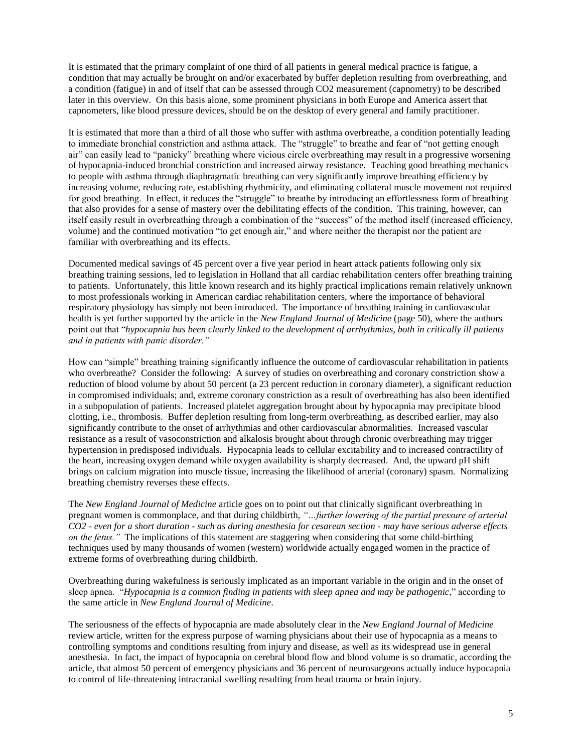It is estimated that the primary complaint of one third of all patients in general medical practice is fatigue, a condition that may actually be brought on and/or exacerbated by buffer depletion resulting from overbreathing, and a condition (fatigue) in and of itself that can be assessed through CO2 measurement (capnometry) to be described later in this overview. On this basis alone, some prominent physicians in both Europe and America assert that capnometers, like blood pressure devices, should be on the desktop of every general and family practitioner.

It is estimated that more than a third of all those who suffer with asthma overbreathe, a condition potentially leading to immediate bronchial constriction and asthma attack. The "struggle" to breathe and fear of "not getting enough air" can easily lead to "panicky" breathing where vicious circle overbreathing may result in a progressive worsening of hypocapnia-induced bronchial constriction and increased airway resistance. Teaching good breathing mechanics to people with asthma through diaphragmatic breathing can very significantly improve breathing efficiency by increasing volume, reducing rate, establishing rhythmicity, and eliminating collateral muscle movement not required for good breathing. In effect, it reduces the "struggle" to breathe by introducing an effortlessness form of breathing that also provides for a sense of mastery over the debilitating effects of the condition. This training, however, can itself easily result in overbreathing through a combination of the "success" of the method itself (increased efficiency, volume) and the continued motivation "to get enough air," and where neither the therapist nor the patient are familiar with overbreathing and its effects.

Documented medical savings of 45 percent over a five year period in heart attack patients following only six breathing training sessions, led to legislation in Holland that all cardiac rehabilitation centers offer breathing training to patients. Unfortunately, this little known research and its highly practical implications remain relatively unknown to most professionals working in American cardiac rehabilitation centers, where the importance of behavioral respiratory physiology has simply not been introduced. The importance of breathing training in cardiovascular health is yet further supported by the article in the *New England Journal of Medicine* (page 50), where the authors point out that "*hypocapnia has been clearly linked to the development of arrhythmias, both in critically ill patients and in patients with panic disorder."* 

How can "simple" breathing training significantly influence the outcome of cardiovascular rehabilitation in patients who overbreathe? Consider the following: A survey of studies on overbreathing and coronary constriction show a reduction of blood volume by about 50 percent (a 23 percent reduction in coronary diameter), a significant reduction in compromised individuals; and, extreme coronary constriction as a result of overbreathing has also been identified in a subpopulation of patients. Increased platelet aggregation brought about by hypocapnia may precipitate blood clotting, i.e., thrombosis. Buffer depletion resulting from long-term overbreathing, as described earlier, may also significantly contribute to the onset of arrhythmias and other cardiovascular abnormalities. Increased vascular resistance as a result of vasoconstriction and alkalosis brought about through chronic overbreathing may trigger hypertension in predisposed individuals. Hypocapnia leads to cellular excitability and to increased contractility of the heart, increasing oxygen demand while oxygen availability is sharply decreased. And, the upward pH shift brings on calcium migration into muscle tissue, increasing the likelihood of arterial (coronary) spasm. Normalizing breathing chemistry reverses these effects.

The *New England Journal of Medicine* article goes on to point out that clinically significant overbreathing in pregnant women is commonplace, and that during childbirth, "…further lowering of the partial pressure of arterial *CO2 - even for a short duration - such as during anesthesia for cesarean section - may have serious adverse effects on the fetus."* The implications of this statement are staggering when considering that some child-birthing techniques used by many thousands of women (western) worldwide actually engaged women in the practice of extreme forms of overbreathing during childbirth.

Overbreathing during wakefulness is seriously implicated as an important variable in the origin and in the onset of sleep apnea. "*Hypocapnia is a common finding in patients with sleep apnea and may be pathogenic*," according to the same article in *New England Journal of Medicine*.

The seriousness of the effects of hypocapnia are made absolutely clear in the *New England Journal of Medicine* review article, written for the express purpose of warning physicians about their use of hypocapnia as a means to controlling symptoms and conditions resulting from injury and disease, as well as its widespread use in general anesthesia. In fact, the impact of hypocapnia on cerebral blood flow and blood volume is so dramatic, according the article, that almost 50 percent of emergency physicians and 36 percent of neurosurgeons actually induce hypocapnia to control of life-threatening intracranial swelling resulting from head trauma or brain injury.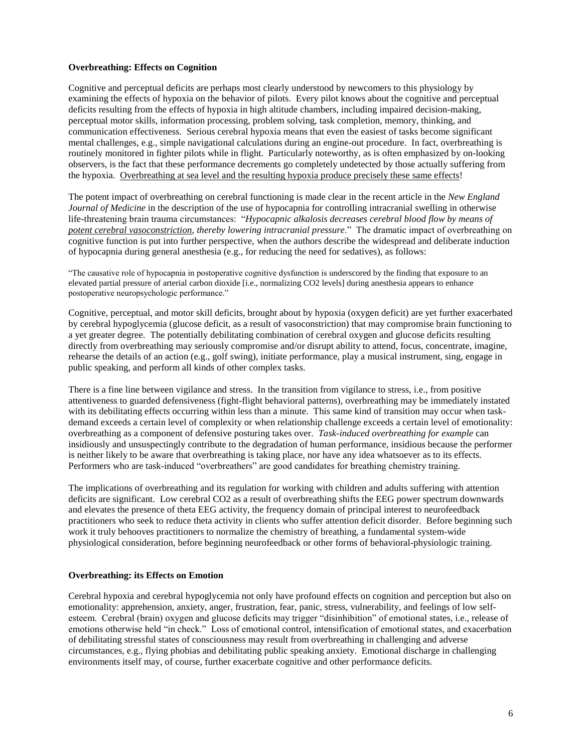### **Overbreathing: Effects on Cognition**

Cognitive and perceptual deficits are perhaps most clearly understood by newcomers to this physiology by examining the effects of hypoxia on the behavior of pilots. Every pilot knows about the cognitive and perceptual deficits resulting from the effects of hypoxia in high altitude chambers, including impaired decision-making, perceptual motor skills, information processing, problem solving, task completion, memory, thinking, and communication effectiveness. Serious cerebral hypoxia means that even the easiest of tasks become significant mental challenges, e.g., simple navigational calculations during an engine-out procedure. In fact, overbreathing is routinely monitored in fighter pilots while in flight. Particularly noteworthy, as is often emphasized by on-looking observers, is the fact that these performance decrements go completely undetected by those actually suffering from the hypoxia. Overbreathing at sea level and the resulting hypoxia produce precisely these same effects!

The potent impact of overbreathing on cerebral functioning is made clear in the recent article in the *New England Journal of Medicine* in the description of the use of hypocapnia for controlling intracranial swelling in otherwise life-threatening brain trauma circumstances: "*Hypocapnic alkalosis decreases cerebral blood flow by means of* potent cerebral vasoconstriction, thereby lowering intracranial pressure." The dramatic impact of overbreathing on cognitive function is put into further perspective, when the authors describe the widespread and deliberate induction of hypocapnia during general anesthesia (e.g., for reducing the need for sedatives), as follows:

"The causative role of hypocapnia in postoperative cognitive dysfunction is underscored by the finding that exposure to an elevated partial pressure of arterial carbon dioxide [i.e., normalizing CO2 levels] during anesthesia appears to enhance postoperative neuropsychologic performance."

Cognitive, perceptual, and motor skill deficits, brought about by hypoxia (oxygen deficit) are yet further exacerbated by cerebral hypoglycemia (glucose deficit, as a result of vasoconstriction) that may compromise brain functioning to a yet greater degree. The potentially debilitating combination of cerebral oxygen and glucose deficits resulting directly from overbreathing may seriously compromise and/or disrupt ability to attend, focus, concentrate, imagine, rehearse the details of an action (e.g., golf swing), initiate performance, play a musical instrument, sing, engage in public speaking, and perform all kinds of other complex tasks.

There is a fine line between vigilance and stress. In the transition from vigilance to stress, i.e., from positive attentiveness to guarded defensiveness (fight-flight behavioral patterns), overbreathing may be immediately instated with its debilitating effects occurring within less than a minute. This same kind of transition may occur when taskdemand exceeds a certain level of complexity or when relationship challenge exceeds a certain level of emotionality: overbreathing as a component of defensive posturing takes over. *Task-induced overbreathing for example* can insidiously and unsuspectingly contribute to the degradation of human performance, insidious because the performer is neither likely to be aware that overbreathing is taking place, nor have any idea whatsoever as to its effects. Performers who are task-induced "overbreathers" are good candidates for breathing chemistry training.

The implications of overbreathing and its regulation for working with children and adults suffering with attention deficits are significant. Low cerebral CO2 as a result of overbreathing shifts the EEG power spectrum downwards and elevates the presence of theta EEG activity, the frequency domain of principal interest to neurofeedback practitioners who seek to reduce theta activity in clients who suffer attention deficit disorder. Before beginning such work it truly behooves practitioners to normalize the chemistry of breathing, a fundamental system-wide physiological consideration, before beginning neurofeedback or other forms of behavioral-physiologic training.

#### **Overbreathing: its Effects on Emotion**

Cerebral hypoxia and cerebral hypoglycemia not only have profound effects on cognition and perception but also on emotionality: apprehension, anxiety, anger, frustration, fear, panic, stress, vulnerability, and feelings of low selfesteem. Cerebral (brain) oxygen and glucose deficits may trigger "disinhibition" of emotional states, i.e., release of emotions otherwise held "in check." Loss of emotional control, intensification of emotional states, and exacerbation of debilitating stressful states of consciousness may result from overbreathing in challenging and adverse circumstances, e.g., flying phobias and debilitating public speaking anxiety. Emotional discharge in challenging environments itself may, of course, further exacerbate cognitive and other performance deficits.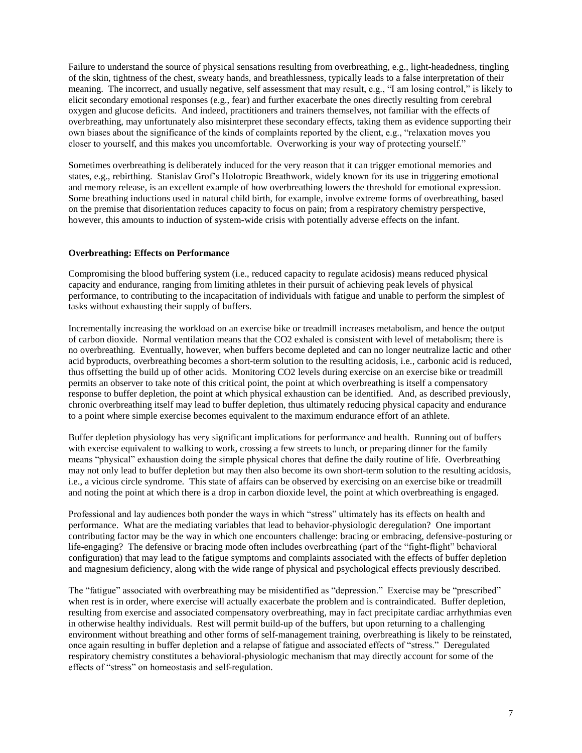Failure to understand the source of physical sensations resulting from overbreathing, e.g., light-headedness, tingling of the skin, tightness of the chest, sweaty hands, and breathlessness, typically leads to a false interpretation of their meaning. The incorrect, and usually negative, self assessment that may result, e.g., "I am losing control," is likely to elicit secondary emotional responses (e.g., fear) and further exacerbate the ones directly resulting from cerebral oxygen and glucose deficits. And indeed, practitioners and trainers themselves, not familiar with the effects of overbreathing, may unfortunately also misinterpret these secondary effects, taking them as evidence supporting their own biases about the significance of the kinds of complaints reported by the client, e.g., "relaxation moves you closer to yourself, and this makes you uncomfortable. Overworking is your way of protecting yourself."

Sometimes overbreathing is deliberately induced for the very reason that it can trigger emotional memories and states, e.g., rebirthing. Stanislav Grof's Holotropic Breathwork, widely known for its use in triggering emotional and memory release, is an excellent example of how overbreathing lowers the threshold for emotional expression. Some breathing inductions used in natural child birth, for example, involve extreme forms of overbreathing, based on the premise that disorientation reduces capacity to focus on pain; from a respiratory chemistry perspective, however, this amounts to induction of system-wide crisis with potentially adverse effects on the infant.

### **Overbreathing: Effects on Performance**

Compromising the blood buffering system (i.e., reduced capacity to regulate acidosis) means reduced physical capacity and endurance, ranging from limiting athletes in their pursuit of achieving peak levels of physical performance, to contributing to the incapacitation of individuals with fatigue and unable to perform the simplest of tasks without exhausting their supply of buffers.

Incrementally increasing the workload on an exercise bike or treadmill increases metabolism, and hence the output of carbon dioxide. Normal ventilation means that the CO2 exhaled is consistent with level of metabolism; there is no overbreathing. Eventually, however, when buffers become depleted and can no longer neutralize lactic and other acid byproducts, overbreathing becomes a short-term solution to the resulting acidosis, i.e., carbonic acid is reduced, thus offsetting the build up of other acids. Monitoring CO2 levels during exercise on an exercise bike or treadmill permits an observer to take note of this critical point, the point at which overbreathing is itself a compensatory response to buffer depletion, the point at which physical exhaustion can be identified. And, as described previously, chronic overbreathing itself may lead to buffer depletion, thus ultimately reducing physical capacity and endurance to a point where simple exercise becomes equivalent to the maximum endurance effort of an athlete.

Buffer depletion physiology has very significant implications for performance and health. Running out of buffers with exercise equivalent to walking to work, crossing a few streets to lunch, or preparing dinner for the family means "physical" exhaustion doing the simple physical chores that define the daily routine of life. Overbreathing may not only lead to buffer depletion but may then also become its own short-term solution to the resulting acidosis, i.e., a vicious circle syndrome. This state of affairs can be observed by exercising on an exercise bike or treadmill and noting the point at which there is a drop in carbon dioxide level, the point at which overbreathing is engaged.

Professional and lay audiences both ponder the ways in which "stress" ultimately has its effects on health and performance. What are the mediating variables that lead to behavior-physiologic deregulation? One important contributing factor may be the way in which one encounters challenge: bracing or embracing, defensive-posturing or life-engaging? The defensive or bracing mode often includes overbreathing (part of the "fight-flight" behavioral configuration) that may lead to the fatigue symptoms and complaints associated with the effects of buffer depletion and magnesium deficiency, along with the wide range of physical and psychological effects previously described.

The "fatigue" associated with overbreathing may be misidentified as "depression." Exercise may be "prescribed" when rest is in order, where exercise will actually exacerbate the problem and is contraindicated. Buffer depletion, resulting from exercise and associated compensatory overbreathing, may in fact precipitate cardiac arrhythmias even in otherwise healthy individuals. Rest will permit build-up of the buffers, but upon returning to a challenging environment without breathing and other forms of self-management training, overbreathing is likely to be reinstated, once again resulting in buffer depletion and a relapse of fatigue and associated effects of "stress." Deregulated respiratory chemistry constitutes a behavioral-physiologic mechanism that may directly account for some of the effects of "stress" on homeostasis and self-regulation.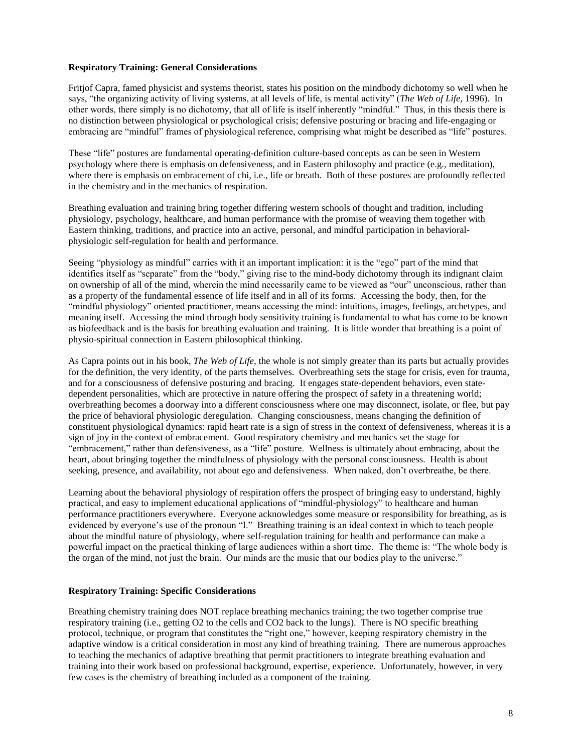### **Respiratory Training: General Considerations**

Fritjof Capra, famed physicist and systems theorist, states his position on the mindbody dichotomy so well when he says, "the organizing activity of living systems, at all levels of life, is mental activity" (*The Web of Life*, 1996). In other words, there simply is no dichotomy, that all of life is itself inherently "mindful." Thus, in this thesis there is no distinction between physiological or psychological crisis; defensive posturing or bracing and life-engaging or embracing are "mindful" frames of physiological reference, comprising what might be described as "life" postures.

These "life" postures are fundamental operating-definition culture-based concepts as can be seen in Western psychology where there is emphasis on defensiveness, and in Eastern philosophy and practice (e.g., meditation), where there is emphasis on embracement of chi, i.e., life or breath. Both of these postures are profoundly reflected in the chemistry and in the mechanics of respiration.

Breathing evaluation and training bring together differing western schools of thought and tradition, including physiology, psychology, healthcare, and human performance with the promise of weaving them together with Eastern thinking, traditions, and practice into an active, personal, and mindful participation in behavioralphysiologic self-regulation for health and performance.

Seeing "physiology as mindful" carries with it an important implication: it is the "ego" part of the mind that identifies itself as "separate" from the "body," giving rise to the mind-body dichotomy through its indignant claim on ownership of all of the mind, wherein the mind necessarily came to be viewed as "our" unconscious, rather than as a property of the fundamental essence of life itself and in all of its forms. Accessing the body, then, for the "mindful physiology" oriented practitioner, means accessing the mind: intuitions, images, feelings, archetypes, and meaning itself. Accessing the mind through body sensitivity training is fundamental to what has come to be known as biofeedback and is the basis for breathing evaluation and training. It is little wonder that breathing is a point of physio-spiritual connection in Eastern philosophical thinking.

As Capra points out in his book, *The Web of Life*, the whole is not simply greater than its parts but actually provides for the definition, the very identity, of the parts themselves. Overbreathing sets the stage for crisis, even for trauma, and for a consciousness of defensive posturing and bracing. It engages state-dependent behaviors, even statedependent personalities, which are protective in nature offering the prospect of safety in a threatening world; overbreathing becomes a doorway into a different consciousness where one may disconnect, isolate, or flee, but pay the price of behavioral physiologic deregulation. Changing consciousness, means changing the definition of constituent physiological dynamics: rapid heart rate is a sign of stress in the context of defensiveness, whereas it is a sign of joy in the context of embracement. Good respiratory chemistry and mechanics set the stage for "embracement," rather than defensiveness, as a "life" posture. Wellness is ultimately about embracing, about the heart, about bringing together the mindfulness of physiology with the personal consciousness. Health is about seeking, presence, and availability, not about ego and defensiveness. When naked, don't overbreathe, be there.

Learning about the behavioral physiology of respiration offers the prospect of bringing easy to understand, highly practical, and easy to implement educational applications of "mindful-physiology" to healthcare and human performance practitioners everywhere. Everyone acknowledges some measure or responsibility for breathing, as is evidenced by everyone's use of the pronoun "I." Breathing training is an ideal context in which to teach people about the mindful nature of physiology, where self-regulation training for health and performance can make a powerful impact on the practical thinking of large audiences within a short time. The theme is: "The whole body is the organ of the mind, not just the brain. Our minds are the music that our bodies play to the universe."

#### **Respiratory Training: Specific Considerations**

Breathing chemistry training does NOT replace breathing mechanics training; the two together comprise true respiratory training (i.e., getting O2 to the cells and CO2 back to the lungs). There is NO specific breathing protocol, technique, or program that constitutes the "right one," however, keeping respiratory chemistry in the adaptive window is a critical consideration in most any kind of breathing training. There are numerous approaches to teaching the mechanics of adaptive breathing that permit practitioners to integrate breathing evaluation and training into their work based on professional background, expertise, experience. Unfortunately, however, in very few cases is the chemistry of breathing included as a component of the training.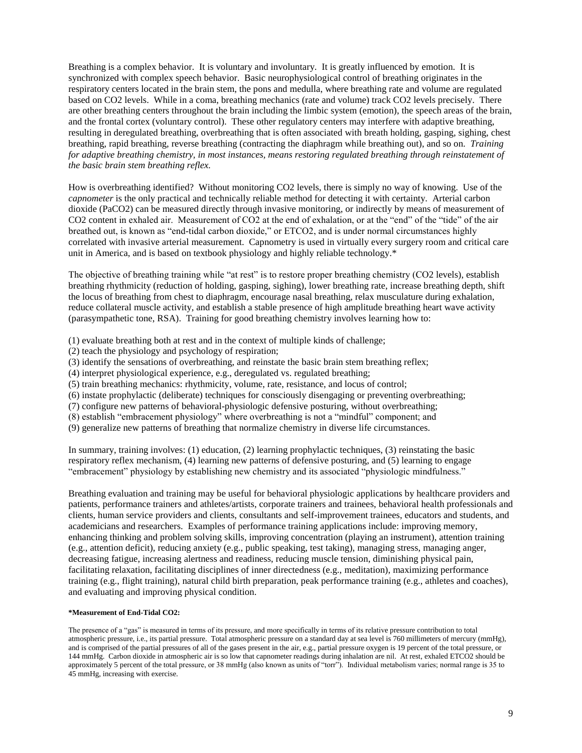Breathing is a complex behavior. It is voluntary and involuntary. It is greatly influenced by emotion. It is synchronized with complex speech behavior. Basic neurophysiological control of breathing originates in the respiratory centers located in the brain stem, the pons and medulla, where breathing rate and volume are regulated based on CO2 levels. While in a coma, breathing mechanics (rate and volume) track CO2 levels precisely. There are other breathing centers throughout the brain including the limbic system (emotion), the speech areas of the brain, and the frontal cortex (voluntary control). These other regulatory centers may interfere with adaptive breathing, resulting in deregulated breathing, overbreathing that is often associated with breath holding, gasping, sighing, chest breathing, rapid breathing, reverse breathing (contracting the diaphragm while breathing out), and so on. *Training for adaptive breathing chemistry, in most instances, means restoring regulated breathing through reinstatement of the basic brain stem breathing reflex.*

How is overbreathing identified? Without monitoring CO2 levels, there is simply no way of knowing. Use of the *capnometer* is the only practical and technically reliable method for detecting it with certainty. Arterial carbon dioxide (PaCO2) can be measured directly through invasive monitoring, or indirectly by means of measurement of CO2 content in exhaled air. Measurement of CO2 at the end of exhalation, or at the "end" of the "tide" of the air breathed out, is known as "end-tidal carbon dioxide," or ETCO2, and is under normal circumstances highly correlated with invasive arterial measurement. Capnometry is used in virtually every surgery room and critical care unit in America, and is based on textbook physiology and highly reliable technology.\*

The objective of breathing training while "at rest" is to restore proper breathing chemistry (CO2 levels), establish breathing rhythmicity (reduction of holding, gasping, sighing), lower breathing rate, increase breathing depth, shift the locus of breathing from chest to diaphragm, encourage nasal breathing, relax musculature during exhalation, reduce collateral muscle activity, and establish a stable presence of high amplitude breathing heart wave activity (parasympathetic tone, RSA). Training for good breathing chemistry involves learning how to:

(1) evaluate breathing both at rest and in the context of multiple kinds of challenge;

- (2) teach the physiology and psychology of respiration;
- (3) identify the sensations of overbreathing, and reinstate the basic brain stem breathing reflex;
- (4) interpret physiological experience, e.g., deregulated vs. regulated breathing;
- (5) train breathing mechanics: rhythmicity, volume, rate, resistance, and locus of control;
- (6) instate prophylactic (deliberate) techniques for consciously disengaging or preventing overbreathing;
- (7) configure new patterns of behavioral-physiologic defensive posturing, without overbreathing;
- $(8)$  establish "embracement physiology" where overbreathing is not a "mindful" component; and
- (9) generalize new patterns of breathing that normalize chemistry in diverse life circumstances.

In summary, training involves: (1) education, (2) learning prophylactic techniques, (3) reinstating the basic respiratory reflex mechanism, (4) learning new patterns of defensive posturing, and (5) learning to engage "embracement" physiology by establishing new chemistry and its associated "physiologic mindfulness."

Breathing evaluation and training may be useful for behavioral physiologic applications by healthcare providers and patients, performance trainers and athletes/artists, corporate trainers and trainees, behavioral health professionals and clients, human service providers and clients, consultants and self-improvement trainees, educators and students, and academicians and researchers. Examples of performance training applications include: improving memory, enhancing thinking and problem solving skills, improving concentration (playing an instrument), attention training (e.g., attention deficit), reducing anxiety (e.g., public speaking, test taking), managing stress, managing anger, decreasing fatigue, increasing alertness and readiness, reducing muscle tension, diminishing physical pain, facilitating relaxation, facilitating disciplines of inner directedness (e.g., meditation), maximizing performance training (e.g., flight training), natural child birth preparation, peak performance training (e.g., athletes and coaches), and evaluating and improving physical condition.

#### **\*Measurement of End-Tidal CO2:**

The presence of a "gas" is measured in terms of its pressure, and more specifically in terms of its relative pressure contribution to total atmospheric pressure, i.e., its partial pressure. Total atmospheric pressure on a standard day at sea level is 760 millimeters of mercury (mmHg), and is comprised of the partial pressures of all of the gases present in the air, e.g., partial pressure oxygen is 19 percent of the total pressure, or 144 mmHg. Carbon dioxide in atmospheric air is so low that capnometer readings during inhalation are nil. At rest, exhaled ETCO2 should be approximately 5 percent of the total pressure, or 38 mmHg (also known as units of "torr"). Individual metabolism varies; normal range is 35 to 45 mmHg, increasing with exercise.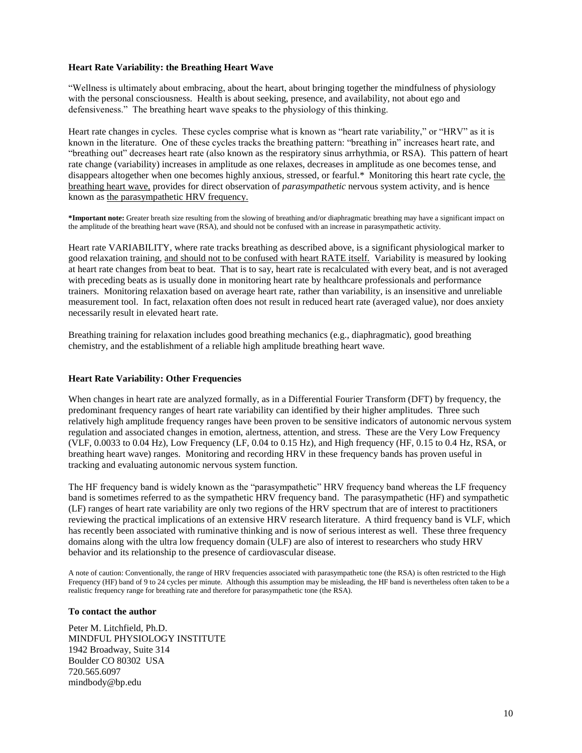### **Heart Rate Variability: the Breathing Heart Wave**

"Wellness is ultimately about embracing, about the heart, about bringing together the mindfulness of physiology with the personal consciousness. Health is about seeking, presence, and availability, not about ego and defensiveness." The breathing heart wave speaks to the physiology of this thinking.

Heart rate changes in cycles. These cycles comprise what is known as "heart rate variability," or "HRV" as it is known in the literature. One of these cycles tracks the breathing pattern: "breathing in" increases heart rate, and "breathing out" decreases heart rate (also known as the respiratory sinus arrhythmia, or RSA). This pattern of heart rate change (variability) increases in amplitude as one relaxes, decreases in amplitude as one becomes tense, and disappears altogether when one becomes highly anxious, stressed, or fearful.\* Monitoring this heart rate cycle, the breathing heart wave, provides for direct observation of *parasympathetic* nervous system activity, and is hence known as the parasympathetic HRV frequency.

**\*Important note:** Greater breath size resulting from the slowing of breathing and/or diaphragmatic breathing may have a significant impact on the amplitude of the breathing heart wave (RSA), and should not be confused with an increase in parasympathetic activity.

Heart rate VARIABILITY, where rate tracks breathing as described above, is a significant physiological marker to good relaxation training, and should not to be confused with heart RATE itself. Variability is measured by looking at heart rate changes from beat to beat. That is to say, heart rate is recalculated with every beat, and is not averaged with preceding beats as is usually done in monitoring heart rate by healthcare professionals and performance trainers. Monitoring relaxation based on average heart rate, rather than variability, is an insensitive and unreliable measurement tool. In fact, relaxation often does not result in reduced heart rate (averaged value), nor does anxiety necessarily result in elevated heart rate.

Breathing training for relaxation includes good breathing mechanics (e.g., diaphragmatic), good breathing chemistry, and the establishment of a reliable high amplitude breathing heart wave.

#### **Heart Rate Variability: Other Frequencies**

When changes in heart rate are analyzed formally, as in a Differential Fourier Transform (DFT) by frequency, the predominant frequency ranges of heart rate variability can identified by their higher amplitudes. Three such relatively high amplitude frequency ranges have been proven to be sensitive indicators of autonomic nervous system regulation and associated changes in emotion, alertness, attention, and stress. These are the Very Low Frequency (VLF, 0.0033 to 0.04 Hz), Low Frequency (LF, 0.04 to 0.15 Hz), and High frequency (HF, 0.15 to 0.4 Hz, RSA, or breathing heart wave) ranges. Monitoring and recording HRV in these frequency bands has proven useful in tracking and evaluating autonomic nervous system function.

The HF frequency band is widely known as the "parasympathetic" HRV frequency band whereas the LF frequency band is sometimes referred to as the sympathetic HRV frequency band. The parasympathetic (HF) and sympathetic (LF) ranges of heart rate variability are only two regions of the HRV spectrum that are of interest to practitioners reviewing the practical implications of an extensive HRV research literature. A third frequency band is VLF, which has recently been associated with ruminative thinking and is now of serious interest as well. These three frequency domains along with the ultra low frequency domain (ULF) are also of interest to researchers who study HRV behavior and its relationship to the presence of cardiovascular disease.

A note of caution: Conventionally, the range of HRV frequencies associated with parasympathetic tone (the RSA) is often restricted to the High Frequency (HF) band of 9 to 24 cycles per minute. Although this assumption may be misleading, the HF band is nevertheless often taken to be a realistic frequency range for breathing rate and therefore for parasympathetic tone (the RSA).

#### **To contact the author**

Peter M. Litchfield, Ph.D. MINDFUL PHYSIOLOGY INSTITUTE 1942 Broadway, Suite 314 Boulder CO 80302 USA 720.565.6097 mindbody@bp.edu